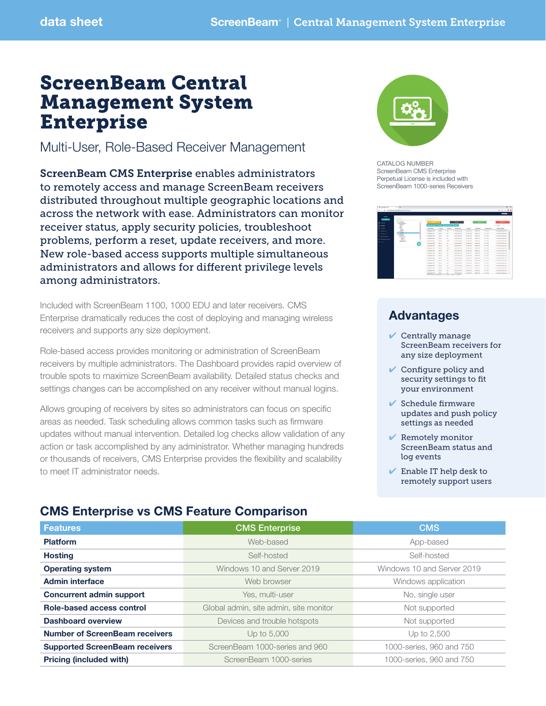# ScreenBeam Central Management System Enterprise

Multi-User, Role-Based Receiver Management

ScreenBeam CMS Enterprise enables administrators to remotely access and manage ScreenBeam receivers distributed throughout multiple geographic locations and across the network with ease. Administrators can monitor receiver status, apply security policies, troubleshoot problems, perform a reset, update receivers, and more. New role-based access supports multiple simultaneous administrators and allows for different privilege levels among administrators.

Included with ScreenBeam 1100, 1000 EDU and later receivers. CMS Enterprise dramatically reduces the cost of deploying and managing wireless receivers and supports any size deployment.

Role-based access provides monitoring or administration of ScreenBeam receivers by multiple administrators. The Dashboard provides rapid overview of trouble spots to maximize ScreenBeam availability. Detailed status checks and settings changes can be accomplished on any receiver without manual logins.

Allows grouping of receivers by sites so administrators can focus on specific areas as needed. Task scheduling allows common tasks such as firmware updates without manual intervention. Detailed log checks allow validation of any action or task accomplished by any administrator. Whether managing hundreds or thousands of receivers, CMS Enterprise provides the flexibility and scalability to meet IT administrator needs.



CATALOG NUMBER ScreenBeam CMS Enterprise Perpetual License is included with ScreenBeam 1000-series Receivers



# Advantages

- $\vee$  Centrally manage ScreenBeam receivers for any size deployment
- $\vee$  Configure policy and security settings to fit your environment
- $\blacktriangleright$  Schedule firmware updates and push policy settings as needed
- $\vee$  Remotely monitor ScreenBeam status and log events
- $\vee$  Enable IT help desk to remotely support users

### CMS Enterprise vs CMS Feature Comparison

| <b>Features</b>                       | <b>CMS Enterprise</b>                  | <b>CMS</b>                 |
|---------------------------------------|----------------------------------------|----------------------------|
| <b>Platform</b>                       | Web-based                              | App-based                  |
| <b>Hosting</b>                        | Self-hosted                            | Self-hosted                |
| <b>Operating system</b>               | Windows 10 and Server 2019             | Windows 10 and Server 2019 |
| <b>Admin interface</b>                | Web browser                            | Windows application        |
| <b>Concurrent admin support</b>       | Yes, multi-user                        | No, single user            |
| Role-based access control             | Global admin, site admin, site monitor | Not supported              |
| <b>Dashboard overview</b>             | Devices and trouble hotspots           | Not supported              |
| <b>Number of ScreenBeam receivers</b> | Up to 5,000                            | Up to 2,500                |
| <b>Supported ScreenBeam receivers</b> | ScreenBeam 1000-series and 960         | 1000-series, 960 and 750   |
| <b>Pricing (included with)</b>        | ScreenBeam 1000-series                 | 1000-series, 960 and 750   |